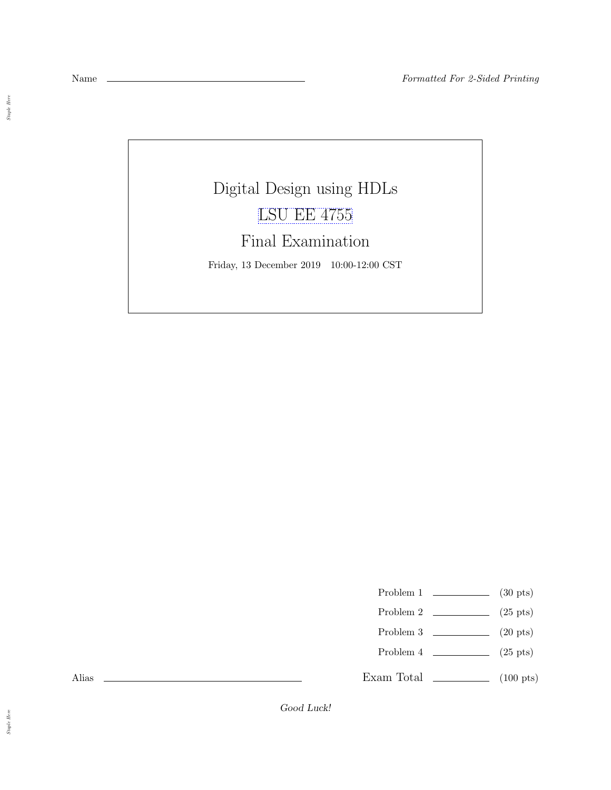$\emph{Staple Here}$ 

## Digital Design using HDLs [LSU EE 4755](https://www.ece.lsu.edu/koppel/v/)

## Final Examination

Friday, 13 December 2019 10:00-12:00 CST

- Problem 1  $\qquad \qquad$  (30 pts)
- Problem 2  $\qquad \qquad (25 \text{ pts})$
- Problem 3  $\qquad \qquad$  (20 pts)
- Problem 4  $\qquad \qquad (25 \text{ pts})$
- Exam Total  $\qquad \qquad$  (100 pts)

Alias

Good Luck!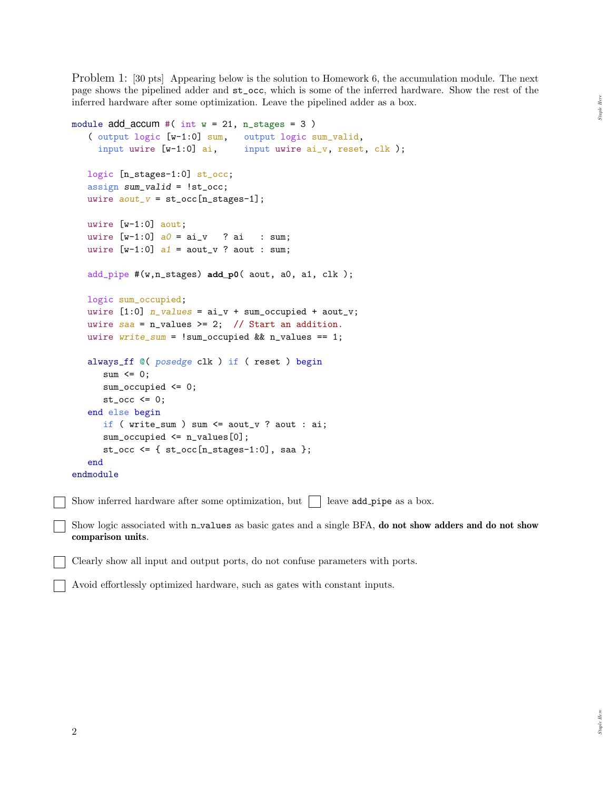Problem 1: [30 pts] Appearing below is the solution to Homework 6, the accumulation module. The next page shows the pipelined adder and st\_occ, which is some of the inferred hardware. Show the rest of the inferred hardware after some optimization. Leave the pipelined adder as a box.

```
module add\_accum #( int w = 21, n\_stages = 3)
   ( output logic [w-1:0] sum, output logic sum_valid,
     input uwire [w-1:0] ai, input uwire ai_v, reset, clk );
   logic [n_stages-1:0] st_occ;
   assign sum_valid = !st_occ;
   uwire aout_v = st\_occ[n\_stages-1];
  uwire [w-1:0] aout;
  uwire [w-1:0] a0 = ai_v ? ai : sum;
   uwire [w-1:0] a1 = aout_v ? aout : sum;
   add_pipe #(w,n_stages) add_p0( aout, a0, a1, clk );
   logic sum_occupied;
   uwire [1:0] n_values = ai_v + sum_occupied + aout_v;
  uwire saa = n_values \ge 2; // Start an addition.
  uwire write\_sum = !sum\_occupied && n_values == 1;
   always_ff @( posedge clk ) if ( reset ) begin
      sum \le 0;sum_occupied <= 0;
      st\_occ \leq 0;end else begin
      if ( write_sum ) sum <= aout_v ? aout : ai;
      sum_occupied <= n_values[0];
      st_occ <= \{ st_occ[n_stages-1:0], saa \};end
endmodule
Show inferred hardware after some optimization, but \Box leave add pipe as a box.
```
Show logic associated with n\_values as basic gates and a single BFA, do not show adders and do not show comparison units.

Clearly show all input and output ports, do not confuse parameters with ports.

Avoid effortlessly optimized hardware, such as gates with constant inputs.

 $Here$  $\label{eq:graph} Shape$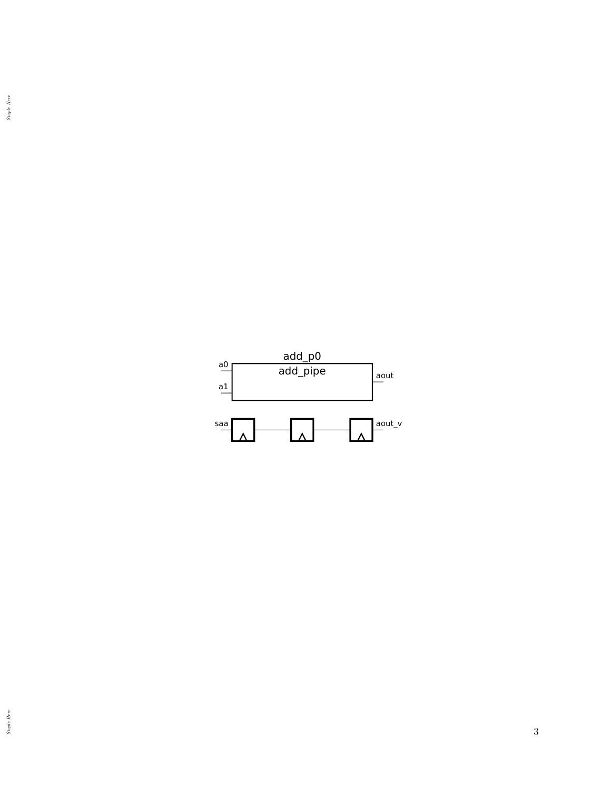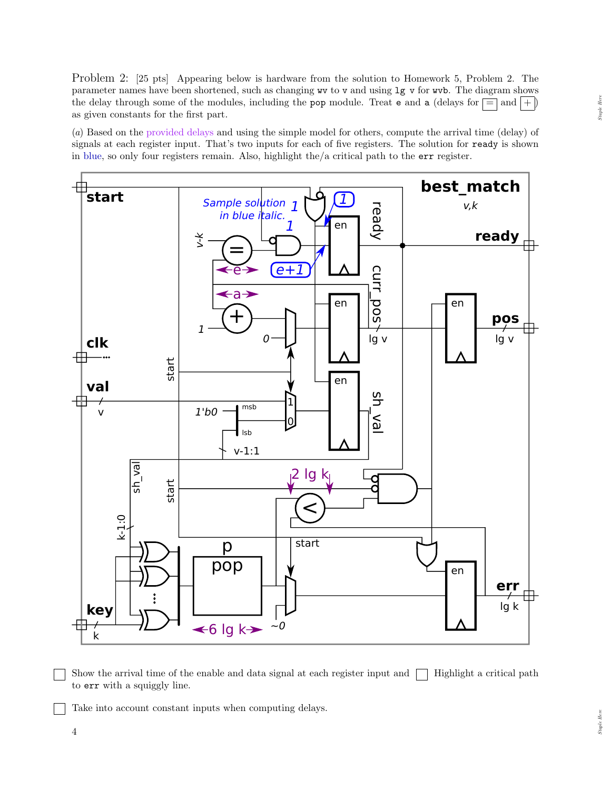Problem 2: [25 pts] Appearing below is hardware from the solution to Homework 5, Problem 2. The parameter names have been shortened, such as changing wv to v and using lg v for wvb. The diagram shows the delay through some of the modules, including the pop module. Treat e and a (delays for  $\equiv$  and  $|+|$ ) as given constants for the first part.

(a) Based on the provided delays and using the simple model for others, compute the arrival time (delay) of signals at each register input. That's two inputs for each of five registers. The solution for ready is shown in blue, so only four registers remain. Also, highlight the/a critical path to the err register.



Show the arrival time of the enable and data signal at each register input and  $\Box$  Highlight a critical path to err with a squiggly line.

Take into account constant inputs when computing delays.

4

Staple Here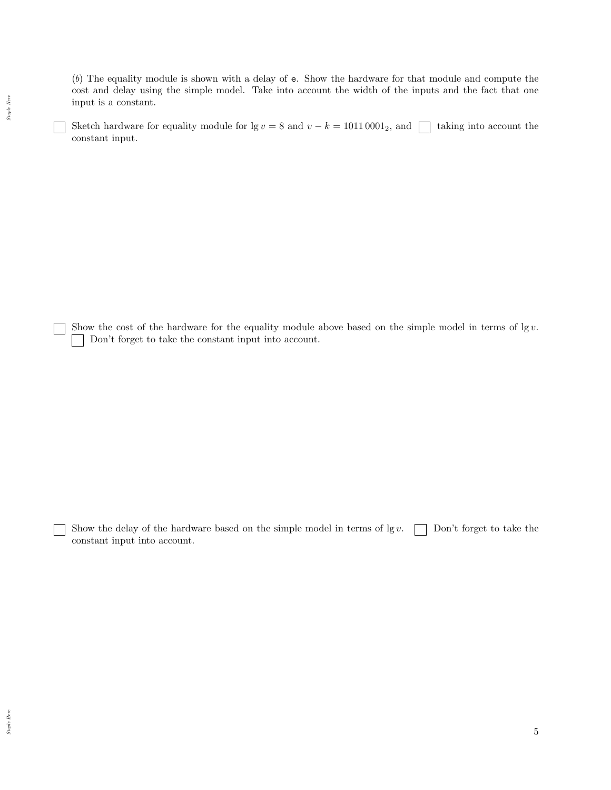(b) The equality module is shown with a delay of e. Show the hardware for that module and compute the cost and delay using the simple model. Take into account the width of the inputs and the fact that one input is a constant.

Sketch hardware for equality module for lg v = 8 and v – k = 1011 0001<sub>2</sub>, and  $\Box$  taking into account the constant input.

Show the cost of the hardware for the equality module above based on the simple model in terms of  $\lg v$ . Don't forget to take the constant input into account.

Show the delay of the hardware based on the simple model in terms of  $\lg v$ .  $\Box$  Don't forget to take the constant input into account.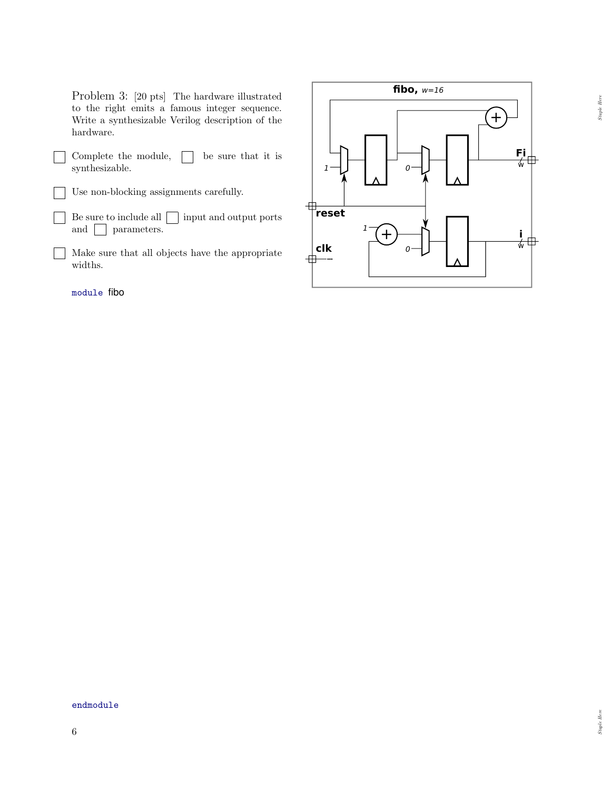Problem 3: [20 pts] The hardware illustrated to the right emits a famous integer sequence. Write a synthesizable Verilog description of the hardware.

Complete the module,  $\Box$  be sure that it is  $\blacksquare$ synthesizable.

Use non-blocking assignments carefully.

- Be sure to include all  $\Box$  input and output ports  $\blacksquare$ and **parameters**.
- Make sure that all objects have the appropriate widths.

module fibo



endmodule

Staple  $Here$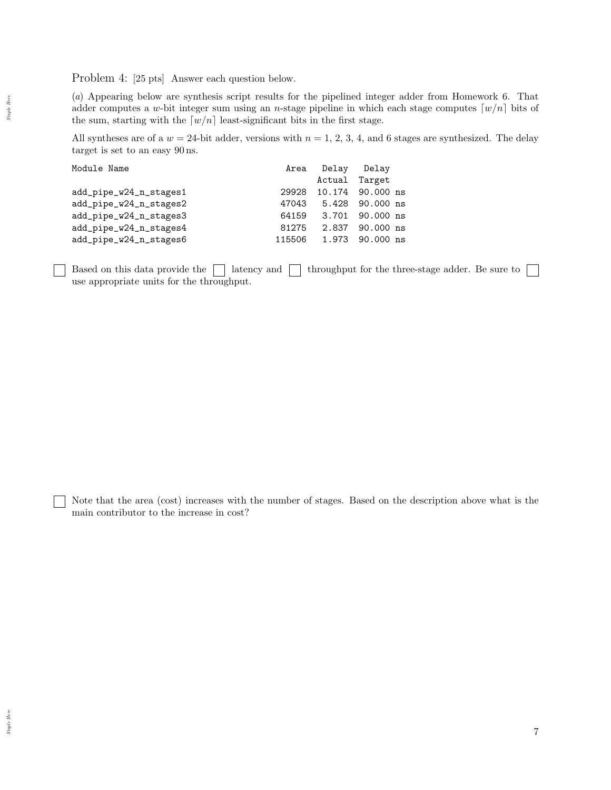Problem 4: [25 pts] Answer each question below.

(a) Appearing below are synthesis script results for the pipelined integer adder from Homework 6. That adder computes a w-bit integer sum using an *n*-stage pipeline in which each stage computes  $[w/n]$  bits of the sum, starting with the  $[w/n]$  least-significant bits in the first stage.

All syntheses are of a  $w = 24$ -bit adder, versions with  $n = 1, 2, 3, 4$ , and 6 stages are synthesized. The delay target is set to an easy 90 ns.

| Module Name            |        | Area Delay Delay |                       |
|------------------------|--------|------------------|-----------------------|
|                        |        |                  | Actual Target         |
| add_pipe_w24_n_stages1 | 29928  |                  | 10.174 90.000 ns      |
| add_pipe_w24_n_stages2 | 47043  |                  | 5.428 90.000 ns       |
| add_pipe_w24_n_stages3 |        |                  | 64159 3.701 90.000 ns |
| add_pipe_w24_n_stages4 | 81275  |                  | 2.837 90.000 ns       |
| add_pipe_w24_n_stages6 | 115506 |                  | 1.973 90.000 ns       |

Based on this data provide the  $\Box$  latency and  $\Box$  throughput for the three-stage adder. Be sure to  $\Box$ use appropriate units for the throughput.

Note that the area (cost) increases with the number of stages. Based on the description above what is the main contributor to the increase in cost?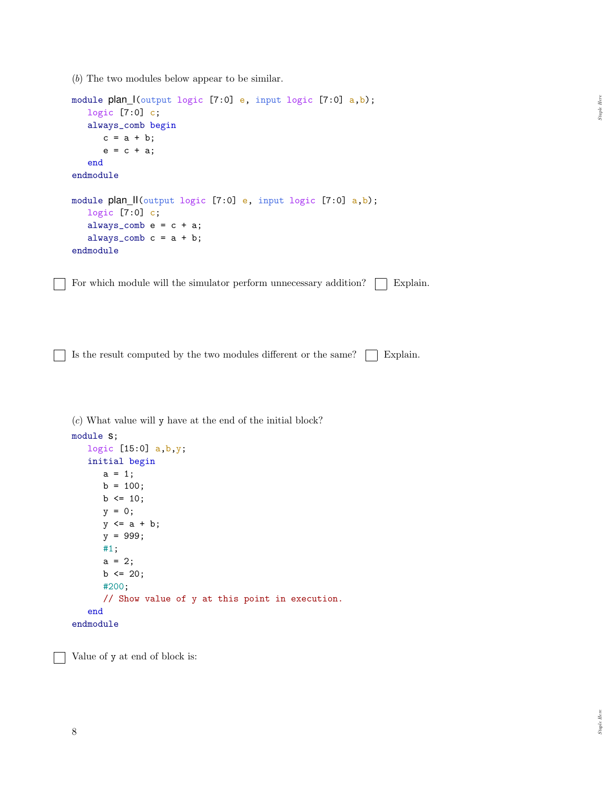(b) The two modules below appear to be similar.

```
module plan_I(output logic [7:0] e, input logic [7:0] a,b);
   logic [7:0] c;
   always_comb begin
      c = a + b;e = c + a;end
endmodule
module plan_II(output logic [7:0] e, input logic [7:0] a,b);
   logic [7:0] c;
   always_comb e = c + a;
   always_comb c = a + b;
endmodule
```
For which module will the simulator perform unnecessary addition?  $\vert$  Explain.

Is the result computed by the two modules different or the same?  $\Box$  Explain.

(c) What value will y have at the end of the initial block?

```
module s;
  logic [15:0] a,b,y;
   initial begin
      a = 1;b = 100;b \le 10;
      y = 0;y \leq a + b;
      y = 999;
      #1;
      a = 2;b \le 20;#200;
      // Show value of y at this point in execution.
   end
endmodule
```
Value of y at end of block is:

 $\emph{Staple Here}$